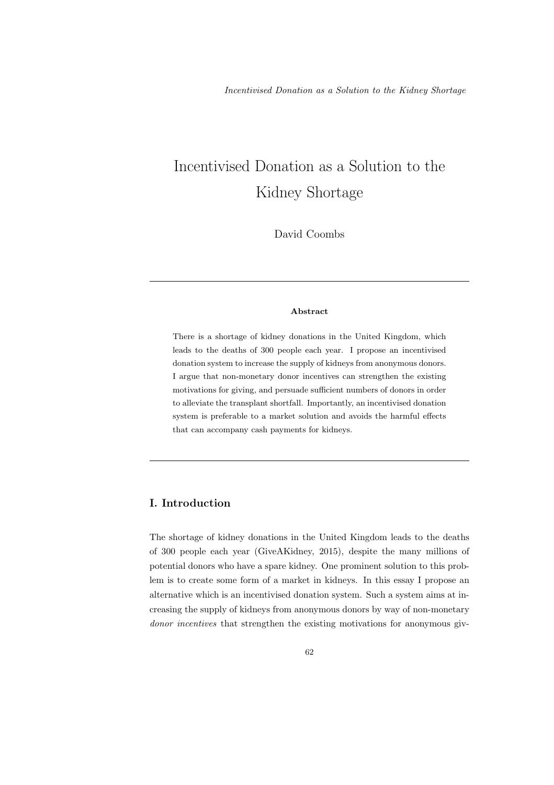# Incentivised Donation as a Solution to the Kidney Shortage

David Coombs

## Abstract

There is a shortage of kidney donations in the United Kingdom, which leads to the deaths of 300 people each year. I propose an incentivised donation system to increase the supply of kidneys from anonymous donors. I argue that non-monetary donor incentives can strengthen the existing motivations for giving, and persuade sufficient numbers of donors in order to alleviate the transplant shortfall. Importantly, an incentivised donation system is preferable to a market solution and avoids the harmful effects that can accompany cash payments for kidneys.

# I. Introduction

The shortage of kidney donations in the United Kingdom leads to the deaths of 300 people each year (GiveAKidney, 2015), despite the many millions of potential donors who have a spare kidney. One prominent solution to this problem is to create some form of a market in kidneys. In this essay I propose an alternative which is an incentivised donation system. Such a system aims at increasing the supply of kidneys from anonymous donors by way of non-monetary donor incentives that strengthen the existing motivations for anonymous giv-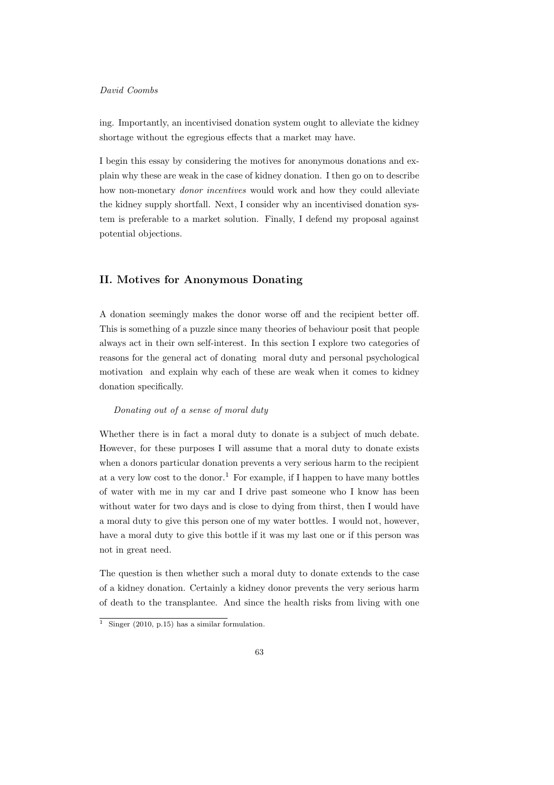ing. Importantly, an incentivised donation system ought to alleviate the kidney shortage without the egregious effects that a market may have.

I begin this essay by considering the motives for anonymous donations and explain why these are weak in the case of kidney donation. I then go on to describe how non-monetary donor incentives would work and how they could alleviate the kidney supply shortfall. Next, I consider why an incentivised donation system is preferable to a market solution. Finally, I defend my proposal against potential objections.

## II. Motives for Anonymous Donating

A donation seemingly makes the donor worse off and the recipient better off. This is something of a puzzle since many theories of behaviour posit that people always act in their own self-interest. In this section I explore two categories of reasons for the general act of donating moral duty and personal psychological motivation and explain why each of these are weak when it comes to kidney donation specifically.

## Donating out of a sense of moral duty

Whether there is in fact a moral duty to donate is a subject of much debate. However, for these purposes I will assume that a moral duty to donate exists when a donors particular donation prevents a very serious harm to the recipient at a very low cost to the donor.<sup>1</sup> For example, if I happen to have many bottles of water with me in my car and I drive past someone who I know has been without water for two days and is close to dying from thirst, then I would have a moral duty to give this person one of my water bottles. I would not, however, have a moral duty to give this bottle if it was my last one or if this person was not in great need.

The question is then whether such a moral duty to donate extends to the case of a kidney donation. Certainly a kidney donor prevents the very serious harm of death to the transplantee. And since the health risks from living with one

 $\frac{1}{1}$  Singer (2010, p.15) has a similar formulation.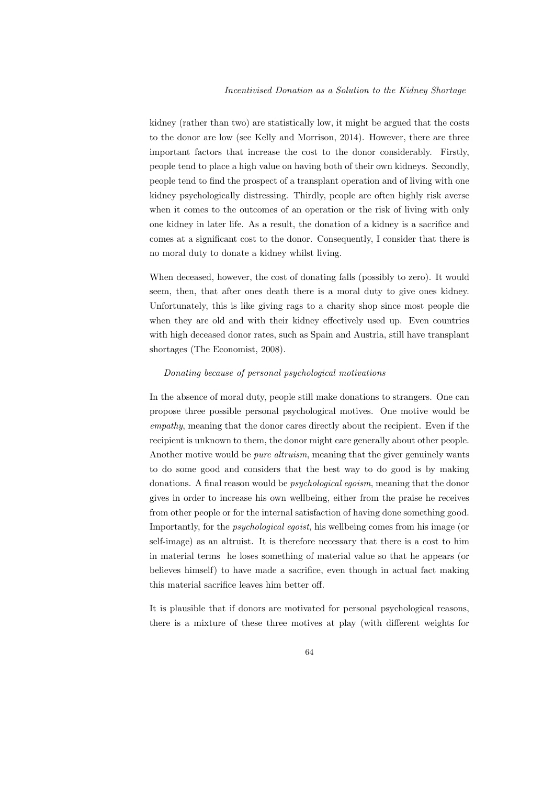kidney (rather than two) are statistically low, it might be argued that the costs to the donor are low (see Kelly and Morrison, 2014). However, there are three important factors that increase the cost to the donor considerably. Firstly, people tend to place a high value on having both of their own kidneys. Secondly, people tend to find the prospect of a transplant operation and of living with one kidney psychologically distressing. Thirdly, people are often highly risk averse when it comes to the outcomes of an operation or the risk of living with only one kidney in later life. As a result, the donation of a kidney is a sacrifice and comes at a significant cost to the donor. Consequently, I consider that there is no moral duty to donate a kidney whilst living.

When deceased, however, the cost of donating falls (possibly to zero). It would seem, then, that after ones death there is a moral duty to give ones kidney. Unfortunately, this is like giving rags to a charity shop since most people die when they are old and with their kidney effectively used up. Even countries with high deceased donor rates, such as Spain and Austria, still have transplant shortages (The Economist, 2008).

#### Donating because of personal psychological motivations

In the absence of moral duty, people still make donations to strangers. One can propose three possible personal psychological motives. One motive would be empathy, meaning that the donor cares directly about the recipient. Even if the recipient is unknown to them, the donor might care generally about other people. Another motive would be *pure altruism*, meaning that the giver genuinely wants to do some good and considers that the best way to do good is by making donations. A final reason would be *psychological eqoism*, meaning that the donor gives in order to increase his own wellbeing, either from the praise he receives from other people or for the internal satisfaction of having done something good. Importantly, for the psychological egoist, his wellbeing comes from his image (or self-image) as an altruist. It is therefore necessary that there is a cost to him in material terms he loses something of material value so that he appears (or believes himself) to have made a sacrifice, even though in actual fact making this material sacrifice leaves him better off.

It is plausible that if donors are motivated for personal psychological reasons, there is a mixture of these three motives at play (with different weights for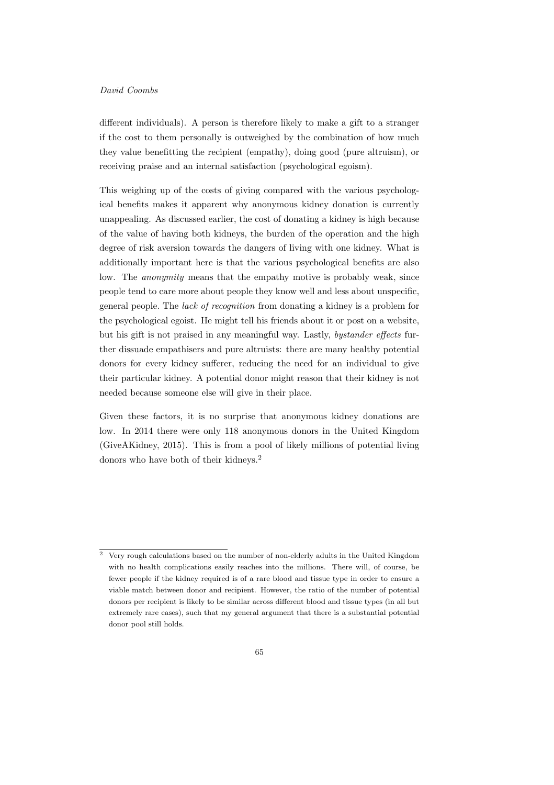different individuals). A person is therefore likely to make a gift to a stranger if the cost to them personally is outweighed by the combination of how much they value benefitting the recipient (empathy), doing good (pure altruism), or receiving praise and an internal satisfaction (psychological egoism).

This weighing up of the costs of giving compared with the various psychological benefits makes it apparent why anonymous kidney donation is currently unappealing. As discussed earlier, the cost of donating a kidney is high because of the value of having both kidneys, the burden of the operation and the high degree of risk aversion towards the dangers of living with one kidney. What is additionally important here is that the various psychological benefits are also low. The *anonymity* means that the empathy motive is probably weak, since people tend to care more about people they know well and less about unspecific, general people. The lack of recognition from donating a kidney is a problem for the psychological egoist. He might tell his friends about it or post on a website, but his gift is not praised in any meaningful way. Lastly, bystander effects further dissuade empathisers and pure altruists: there are many healthy potential donors for every kidney sufferer, reducing the need for an individual to give their particular kidney. A potential donor might reason that their kidney is not needed because someone else will give in their place.

Given these factors, it is no surprise that anonymous kidney donations are low. In 2014 there were only 118 anonymous donors in the United Kingdom (GiveAKidney, 2015). This is from a pool of likely millions of potential living donors who have both of their kidneys.<sup>2</sup>

<sup>2</sup> Very rough calculations based on the number of non-elderly adults in the United Kingdom with no health complications easily reaches into the millions. There will, of course, be fewer people if the kidney required is of a rare blood and tissue type in order to ensure a viable match between donor and recipient. However, the ratio of the number of potential donors per recipient is likely to be similar across different blood and tissue types (in all but extremely rare cases), such that my general argument that there is a substantial potential donor pool still holds.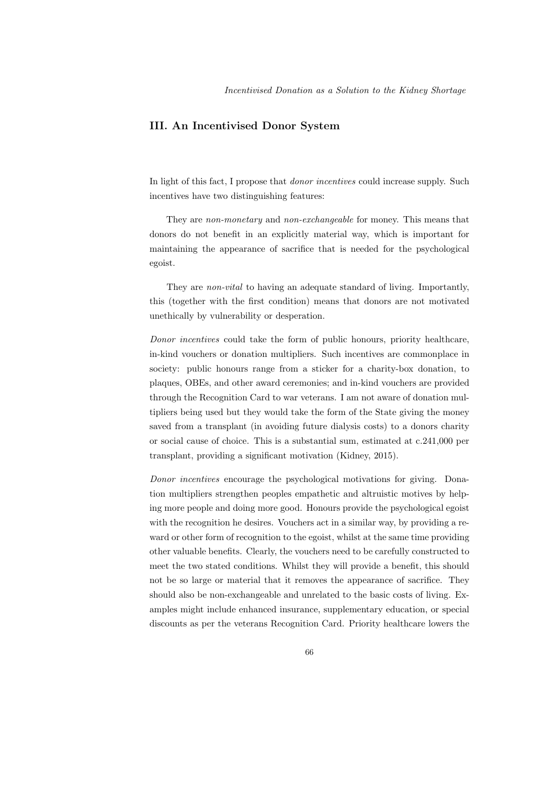## III. An Incentivised Donor System

In light of this fact, I propose that donor incentives could increase supply. Such incentives have two distinguishing features:

They are *non-monetary* and *non-exchangeable* for money. This means that donors do not benefit in an explicitly material way, which is important for maintaining the appearance of sacrifice that is needed for the psychological egoist.

They are non-vital to having an adequate standard of living. Importantly, this (together with the first condition) means that donors are not motivated unethically by vulnerability or desperation.

Donor incentives could take the form of public honours, priority healthcare, in-kind vouchers or donation multipliers. Such incentives are commonplace in society: public honours range from a sticker for a charity-box donation, to plaques, OBEs, and other award ceremonies; and in-kind vouchers are provided through the Recognition Card to war veterans. I am not aware of donation multipliers being used but they would take the form of the State giving the money saved from a transplant (in avoiding future dialysis costs) to a donors charity or social cause of choice. This is a substantial sum, estimated at c.241,000 per transplant, providing a significant motivation (Kidney, 2015).

Donor incentives encourage the psychological motivations for giving. Donation multipliers strengthen peoples empathetic and altruistic motives by helping more people and doing more good. Honours provide the psychological egoist with the recognition he desires. Vouchers act in a similar way, by providing a reward or other form of recognition to the egoist, whilst at the same time providing other valuable benefits. Clearly, the vouchers need to be carefully constructed to meet the two stated conditions. Whilst they will provide a benefit, this should not be so large or material that it removes the appearance of sacrifice. They should also be non-exchangeable and unrelated to the basic costs of living. Examples might include enhanced insurance, supplementary education, or special discounts as per the veterans Recognition Card. Priority healthcare lowers the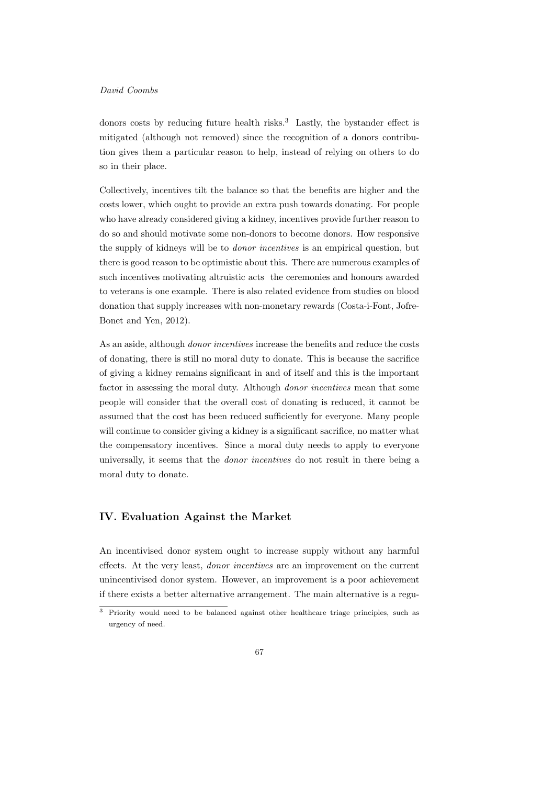donors costs by reducing future health risks.<sup>3</sup> Lastly, the bystander effect is mitigated (although not removed) since the recognition of a donors contribution gives them a particular reason to help, instead of relying on others to do so in their place.

Collectively, incentives tilt the balance so that the benefits are higher and the costs lower, which ought to provide an extra push towards donating. For people who have already considered giving a kidney, incentives provide further reason to do so and should motivate some non-donors to become donors. How responsive the supply of kidneys will be to *donor incentives* is an empirical question, but there is good reason to be optimistic about this. There are numerous examples of such incentives motivating altruistic acts the ceremonies and honours awarded to veterans is one example. There is also related evidence from studies on blood donation that supply increases with non-monetary rewards (Costa-i-Font, Jofre-Bonet and Yen, 2012).

As an aside, although donor incentives increase the benefits and reduce the costs of donating, there is still no moral duty to donate. This is because the sacrifice of giving a kidney remains significant in and of itself and this is the important factor in assessing the moral duty. Although *donor incentives* mean that some people will consider that the overall cost of donating is reduced, it cannot be assumed that the cost has been reduced sufficiently for everyone. Many people will continue to consider giving a kidney is a significant sacrifice, no matter what the compensatory incentives. Since a moral duty needs to apply to everyone universally, it seems that the donor incentives do not result in there being a moral duty to donate.

## IV. Evaluation Against the Market

An incentivised donor system ought to increase supply without any harmful effects. At the very least, donor incentives are an improvement on the current unincentivised donor system. However, an improvement is a poor achievement if there exists a better alternative arrangement. The main alternative is a regu-

 $\frac{3}{3}$  Priority would need to be balanced against other healthcare triage principles, such as urgency of need.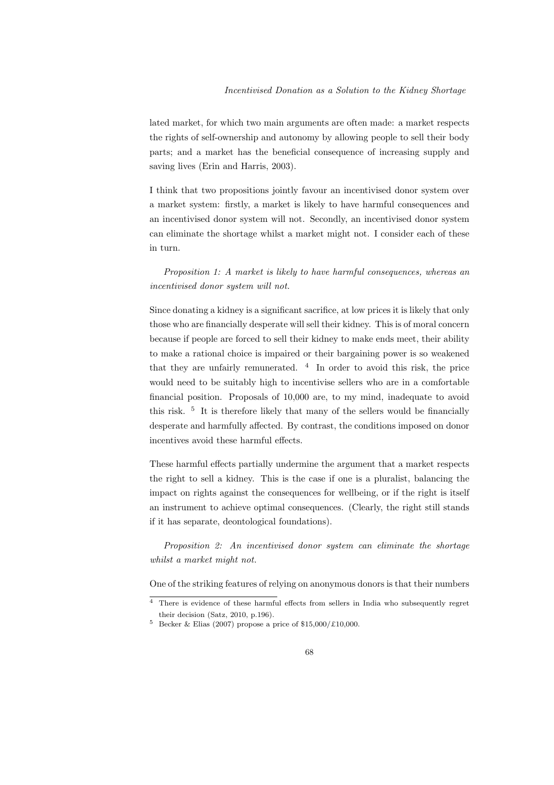lated market, for which two main arguments are often made: a market respects the rights of self-ownership and autonomy by allowing people to sell their body parts; and a market has the beneficial consequence of increasing supply and saving lives (Erin and Harris, 2003).

I think that two propositions jointly favour an incentivised donor system over a market system: firstly, a market is likely to have harmful consequences and an incentivised donor system will not. Secondly, an incentivised donor system can eliminate the shortage whilst a market might not. I consider each of these in turn.

Proposition 1: A market is likely to have harmful consequences, whereas an incentivised donor system will not.

Since donating a kidney is a significant sacrifice, at low prices it is likely that only those who are financially desperate will sell their kidney. This is of moral concern because if people are forced to sell their kidney to make ends meet, their ability to make a rational choice is impaired or their bargaining power is so weakened that they are unfairly remunerated. <sup>4</sup> In order to avoid this risk, the price would need to be suitably high to incentivise sellers who are in a comfortable financial position. Proposals of 10,000 are, to my mind, inadequate to avoid this risk. <sup>5</sup> It is therefore likely that many of the sellers would be financially desperate and harmfully affected. By contrast, the conditions imposed on donor incentives avoid these harmful effects.

These harmful effects partially undermine the argument that a market respects the right to sell a kidney. This is the case if one is a pluralist, balancing the impact on rights against the consequences for wellbeing, or if the right is itself an instrument to achieve optimal consequences. (Clearly, the right still stands if it has separate, deontological foundations).

Proposition 2: An incentivised donor system can eliminate the shortage whilst a market might not.

One of the striking features of relying on anonymous donors is that their numbers

<sup>4</sup> There is evidence of these harmful effects from sellers in India who subsequently regret their decision (Satz, 2010, p.196).

 $5$  Becker & Elias (2007) propose a price of \$15,000/£10,000.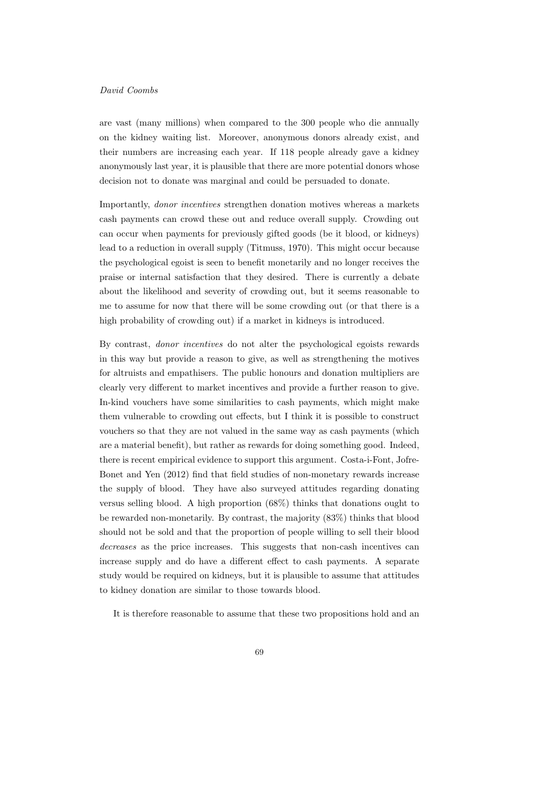are vast (many millions) when compared to the 300 people who die annually on the kidney waiting list. Moreover, anonymous donors already exist, and their numbers are increasing each year. If 118 people already gave a kidney anonymously last year, it is plausible that there are more potential donors whose decision not to donate was marginal and could be persuaded to donate.

Importantly, donor incentives strengthen donation motives whereas a markets cash payments can crowd these out and reduce overall supply. Crowding out can occur when payments for previously gifted goods (be it blood, or kidneys) lead to a reduction in overall supply (Titmuss, 1970). This might occur because the psychological egoist is seen to benefit monetarily and no longer receives the praise or internal satisfaction that they desired. There is currently a debate about the likelihood and severity of crowding out, but it seems reasonable to me to assume for now that there will be some crowding out (or that there is a high probability of crowding out) if a market in kidneys is introduced.

By contrast, donor incentives do not alter the psychological egoists rewards in this way but provide a reason to give, as well as strengthening the motives for altruists and empathisers. The public honours and donation multipliers are clearly very different to market incentives and provide a further reason to give. In-kind vouchers have some similarities to cash payments, which might make them vulnerable to crowding out effects, but I think it is possible to construct vouchers so that they are not valued in the same way as cash payments (which are a material benefit), but rather as rewards for doing something good. Indeed, there is recent empirical evidence to support this argument. Costa-i-Font, Jofre-Bonet and Yen (2012) find that field studies of non-monetary rewards increase the supply of blood. They have also surveyed attitudes regarding donating versus selling blood. A high proportion (68%) thinks that donations ought to be rewarded non-monetarily. By contrast, the majority (83%) thinks that blood should not be sold and that the proportion of people willing to sell their blood decreases as the price increases. This suggests that non-cash incentives can increase supply and do have a different effect to cash payments. A separate study would be required on kidneys, but it is plausible to assume that attitudes to kidney donation are similar to those towards blood.

It is therefore reasonable to assume that these two propositions hold and an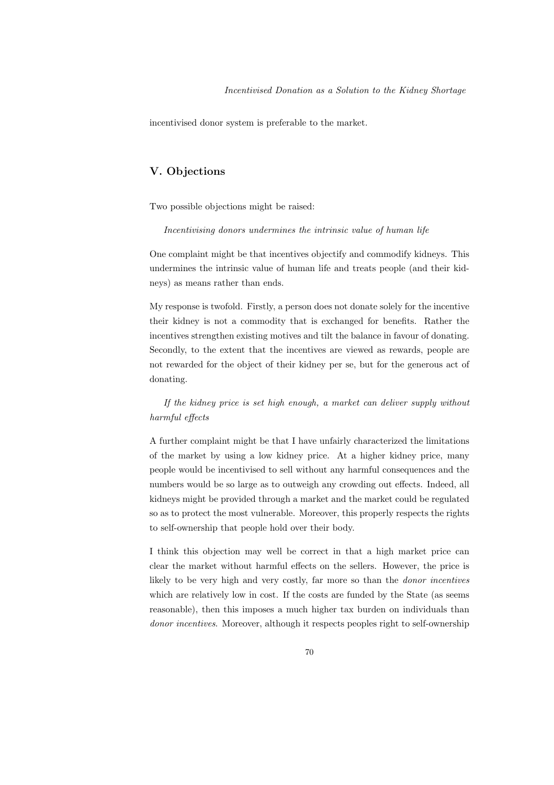incentivised donor system is preferable to the market.

# V. Objections

Two possible objections might be raised:

Incentivising donors undermines the intrinsic value of human life

One complaint might be that incentives objectify and commodify kidneys. This undermines the intrinsic value of human life and treats people (and their kidneys) as means rather than ends.

My response is twofold. Firstly, a person does not donate solely for the incentive their kidney is not a commodity that is exchanged for benefits. Rather the incentives strengthen existing motives and tilt the balance in favour of donating. Secondly, to the extent that the incentives are viewed as rewards, people are not rewarded for the object of their kidney per se, but for the generous act of donating.

If the kidney price is set high enough, a market can deliver supply without harmful effects

A further complaint might be that I have unfairly characterized the limitations of the market by using a low kidney price. At a higher kidney price, many people would be incentivised to sell without any harmful consequences and the numbers would be so large as to outweigh any crowding out effects. Indeed, all kidneys might be provided through a market and the market could be regulated so as to protect the most vulnerable. Moreover, this properly respects the rights to self-ownership that people hold over their body.

I think this objection may well be correct in that a high market price can clear the market without harmful effects on the sellers. However, the price is likely to be very high and very costly, far more so than the donor incentives which are relatively low in cost. If the costs are funded by the State (as seems reasonable), then this imposes a much higher tax burden on individuals than donor incentives. Moreover, although it respects peoples right to self-ownership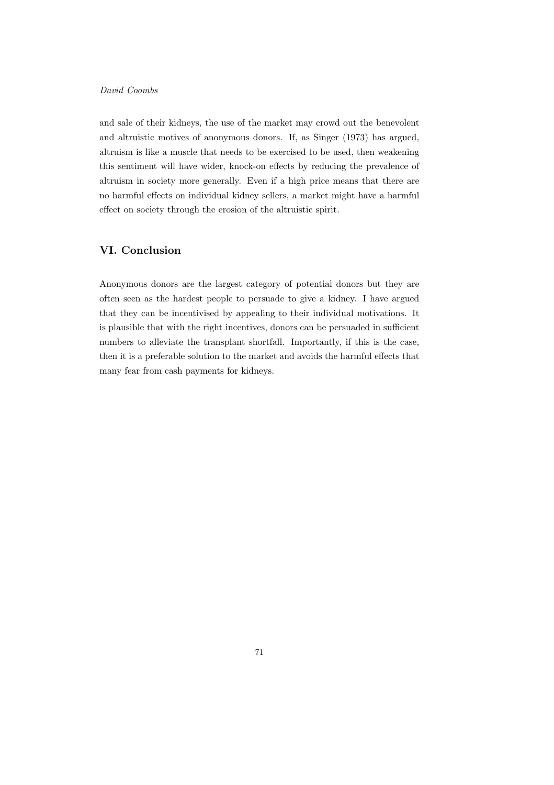and sale of their kidneys, the use of the market may crowd out the benevolent and altruistic motives of anonymous donors. If, as Singer (1973) has argued, altruism is like a muscle that needs to be exercised to be used, then weakening this sentiment will have wider, knock-on effects by reducing the prevalence of altruism in society more generally. Even if a high price means that there are no harmful effects on individual kidney sellers, a market might have a harmful effect on society through the erosion of the altruistic spirit.

# VI. Conclusion

Anonymous donors are the largest category of potential donors but they are often seen as the hardest people to persuade to give a kidney. I have argued that they can be incentivised by appealing to their individual motivations. It is plausible that with the right incentives, donors can be persuaded in sufficient numbers to alleviate the transplant shortfall. Importantly, if this is the case, then it is a preferable solution to the market and avoids the harmful effects that many fear from cash payments for kidneys.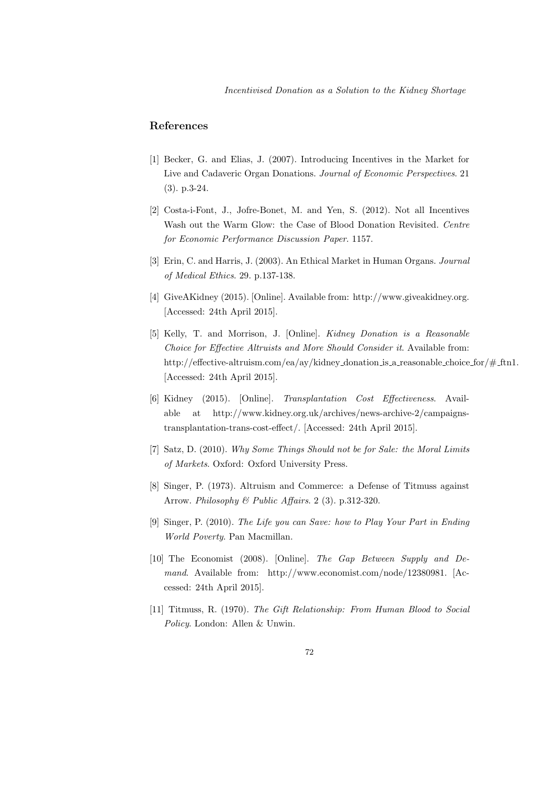## References

- [1] Becker, G. and Elias, J. (2007). Introducing Incentives in the Market for Live and Cadaveric Organ Donations. Journal of Economic Perspectives. 21 (3). p.3-24.
- [2] Costa-i-Font, J., Jofre-Bonet, M. and Yen, S. (2012). Not all Incentives Wash out the Warm Glow: the Case of Blood Donation Revisited. Centre for Economic Performance Discussion Paper. 1157.
- [3] Erin, C. and Harris, J. (2003). An Ethical Market in Human Organs. Journal of Medical Ethics. 29. p.137-138.
- [4] GiveAKidney (2015). [Online]. Available from: http://www.giveakidney.org. [Accessed: 24th April 2015].
- [5] Kelly, T. and Morrison, J. [Online]. Kidney Donation is a Reasonable Choice for Effective Altruists and More Should Consider it. Available from: http://effective-altruism.com/ea/ay/kidney donation is a reasonable choice for/# ftn1. [Accessed: 24th April 2015].
- [6] Kidney (2015). [Online]. Transplantation Cost Effectiveness. Available at http://www.kidney.org.uk/archives/news-archive-2/campaignstransplantation-trans-cost-effect/. [Accessed: 24th April 2015].
- [7] Satz, D. (2010). Why Some Things Should not be for Sale: the Moral Limits of Markets. Oxford: Oxford University Press.
- [8] Singer, P. (1973). Altruism and Commerce: a Defense of Titmuss against Arrow. Philosophy & Public Affairs. 2 (3). p.312-320.
- [9] Singer, P. (2010). The Life you can Save: how to Play Your Part in Ending World Poverty. Pan Macmillan.
- [10] The Economist (2008). [Online]. The Gap Between Supply and Demand. Available from: http://www.economist.com/node/12380981. [Accessed: 24th April 2015].
- [11] Titmuss, R. (1970). The Gift Relationship: From Human Blood to Social Policy. London: Allen & Unwin.